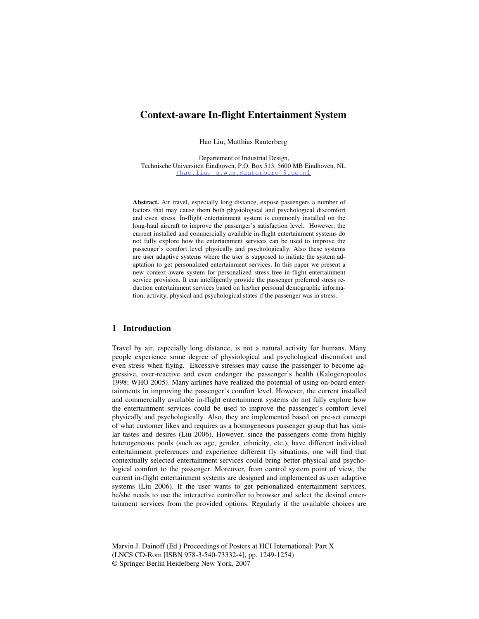# **Context-aware In-flight Entertainment System**

Hao Liu, Matthias Rauterberg

 Departement of Industrial Design, Technische Universiteit Eindhoven, P.O. Box 513, 5600 MB Eindhoven, NL {hao.liu, g.w.m.Rauterberg}@tue.nl

**Abstract.** Air travel, especially long distance, expose passengers a number of factors that may cause them both physiological and psychological discomfort and even stress. In-flight entertainment system is commonly installed on the long-haul aircraft to improve the passenger's satisfaction level. However, the current installed and commercially available in-flight entertainment systems do not fully explore how the entertainment services can be used to improve the passenger's comfort level physically and psychologically. Also these systems are user adaptive systems where the user is supposed to initiate the system adaptation to get personalized entertainment services. In this paper we present a new context-aware system for personalized stress free in-flight entertainment service provision. It can intelligently provide the passenger preferred stress reduction entertainment services based on his/her personal demographic information, activity, physical and psychological states if the passenger was in stress.

### **1 Introduction**

Travel by air, especially long distance, is not a natural activity for humans. Many people experience some degree of physiological and psychological discomfort and even stress when flying. Excessive stresses may cause the passenger to become aggressive, over-reactive and even endanger the passenger's health (Kalogeropoulos 1998; WHO 2005). Many airlines have realized the potential of using on-board entertainments in improving the passenger's comfort level. However, the current installed and commercially available in-flight entertainment systems do not fully explore how the entertainment services could be used to improve the passenger's comfort level physically and psychologically. Also, they are implemented based on pre-set concept of what customer likes and requires as a homogeneous passenger group that has similar tastes and desires (Liu 2006). However, since the passengers come from highly heterogeneous pools (such as age, gender, ethnicity, etc.), have different individual entertainment preferences and experience different fly situations, one will find that contextually selected entertainment services could bring better physical and psychological comfort to the passenger. Moreover, from control system point of view, the current in-flight entertainment systems are designed and implemented as user adaptive systems (Liu 2006). If the user wants to get personalized entertainment services, he/she needs to use the interactive controller to browser and select the desired entertainment services from the provided options. Regularly if the available choices are

Marvin J. Dainoff (Ed.) Proceedings of Posters at HCI International: Part X (LNCS CD-Rom [ISBN 978-3-540-73332-4], pp. 1249-1254) © Springer Berlin Heidelberg New York, 2007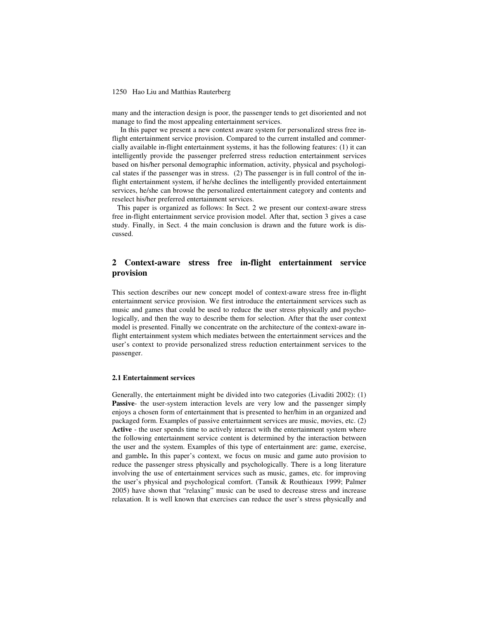#### 1250 Hao Liu and Matthias Rauterberg

many and the interaction design is poor, the passenger tends to get disoriented and not manage to find the most appealing entertainment services.

In this paper we present a new context aware system for personalized stress free inflight entertainment service provision. Compared to the current installed and commercially available in-flight entertainment systems, it has the following features: (1) it can intelligently provide the passenger preferred stress reduction entertainment services based on his/her personal demographic information, activity, physical and psychological states if the passenger was in stress. (2) The passenger is in full control of the inflight entertainment system, if he/she declines the intelligently provided entertainment services, he/she can browse the personalized entertainment category and contents and reselect his/her preferred entertainment services.

This paper is organized as follows: In Sect. 2 we present our context-aware stress free in-flight entertainment service provision model. After that, section 3 gives a case study. Finally, in Sect. 4 the main conclusion is drawn and the future work is discussed.

## **2 Context-aware stress free in-flight entertainment service provision**

This section describes our new concept model of context-aware stress free in-flight entertainment service provision. We first introduce the entertainment services such as music and games that could be used to reduce the user stress physically and psychologically, and then the way to describe them for selection. After that the user context model is presented. Finally we concentrate on the architecture of the context-aware inflight entertainment system which mediates between the entertainment services and the user's context to provide personalized stress reduction entertainment services to the passenger.

### **2.1 Entertainment services**

Generally, the entertainment might be divided into two categories (Livaditi 2002): (1) **Passive**- the user-system interaction levels are very low and the passenger simply enjoys a chosen form of entertainment that is presented to her/him in an organized and packaged form. Examples of passive entertainment services are music, movies, etc. (2) **Active** - the user spends time to actively interact with the entertainment system where the following entertainment service content is determined by the interaction between the user and the system. Examples of this type of entertainment are: game, exercise, and gamble**.** In this paper's context, we focus on music and game auto provision to reduce the passenger stress physically and psychologically. There is a long literature involving the use of entertainment services such as music, games, etc. for improving the user's physical and psychological comfort. (Tansik & Routhieaux 1999; Palmer 2005) have shown that "relaxing" music can be used to decrease stress and increase relaxation. It is well known that exercises can reduce the user's stress physically and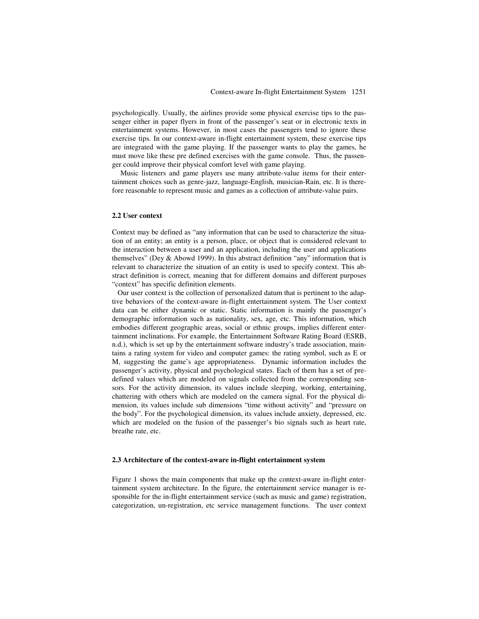psychologically. Usually, the airlines provide some physical exercise tips to the passenger either in paper flyers in front of the passenger's seat or in electronic texts in entertainment systems. However, in most cases the passengers tend to ignore these exercise tips. In our context-aware in-flight entertainment system, these exercise tips are integrated with the game playing. If the passenger wants to play the games, he must move like these pre defined exercises with the game console. Thus, the passenger could improve their physical comfort level with game playing.

Music listeners and game players use many attribute-value items for their entertainment choices such as genre-jazz, language-English, musician-Rain, etc. It is therefore reasonable to represent music and games as a collection of attribute-value pairs.

### **2.2 User context**

Context may be defined as "any information that can be used to characterize the situation of an entity; an entity is a person, place, or object that is considered relevant to the interaction between a user and an application, including the user and applications themselves" (Dey & Abowd 1999). In this abstract definition "any" information that is relevant to characterize the situation of an entity is used to specify context. This abstract definition is correct, meaning that for different domains and different purposes "context" has specific definition elements.

 Our user context is the collection of personalized datum that is pertinent to the adaptive behaviors of the context-aware in-flight entertainment system. The User context data can be either dynamic or static. Static information is mainly the passenger's demographic information such as nationality, sex, age, etc. This information, which embodies different geographic areas, social or ethnic groups, implies different entertainment inclinations. For example, the Entertainment Software Rating Board (ESRB, n.d.), which is set up by the entertainment software industry's trade association, maintains a rating system for video and computer games: the rating symbol, such as E or M, suggesting the game's age appropriateness. Dynamic information includes the passenger's activity, physical and psychological states. Each of them has a set of predefined values which are modeled on signals collected from the corresponding sensors. For the activity dimension, its values include sleeping, working, entertaining, chattering with others which are modeled on the camera signal. For the physical dimension, its values include sub dimensions "time without activity" and "pressure on the body". For the psychological dimension, its values include anxiety, depressed, etc. which are modeled on the fusion of the passenger's bio signals such as heart rate, breathe rate, etc.

### **2.3 Architecture of the context-aware in-flight entertainment system**

Figure 1 shows the main components that make up the context-aware in-flight entertainment system architecture. In the figure, the entertainment service manager is responsible for the in-flight entertainment service (such as music and game) registration, categorization, un-registration, etc service management functions. The user context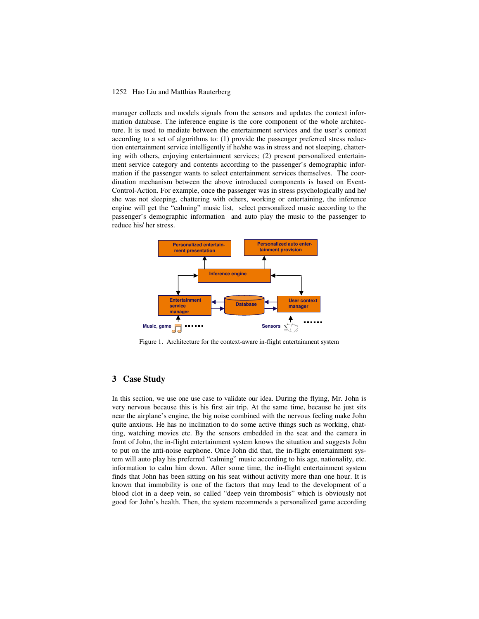#### 1252 Hao Liu and Matthias Rauterberg

manager collects and models signals from the sensors and updates the context information database. The inference engine is the core component of the whole architecture. It is used to mediate between the entertainment services and the user's context according to a set of algorithms to: (1) provide the passenger preferred stress reduction entertainment service intelligently if he/she was in stress and not sleeping, chattering with others, enjoying entertainment services; (2) present personalized entertainment service category and contents according to the passenger's demographic information if the passenger wants to select entertainment services themselves. The coordination mechanism between the above introduced components is based on Event-Control-Action. For example, once the passenger was in stress psychologically and he/ she was not sleeping, chattering with others, working or entertaining, the inference engine will get the "calming" music list, select personalized music according to the passenger's demographic information and auto play the music to the passenger to reduce his/ her stress.



Figure 1. Architecture for the context-aware in-flight entertainment system

## **3 Case Study**

In this section, we use one use case to validate our idea. During the flying, Mr. John is very nervous because this is his first air trip. At the same time, because he just sits near the airplane's engine, the big noise combined with the nervous feeling make John quite anxious. He has no inclination to do some active things such as working, chatting, watching movies etc. By the sensors embedded in the seat and the camera in front of John, the in-flight entertainment system knows the situation and suggests John to put on the anti-noise earphone. Once John did that, the in-flight entertainment system will auto play his preferred "calming" music according to his age, nationality, etc. information to calm him down. After some time, the in-flight entertainment system finds that John has been sitting on his seat without activity more than one hour. It is known that immobility is one of the factors that may lead to the development of a blood clot in a deep vein, so called "deep vein thrombosis" which is obviously not good for John's health. Then, the system recommends a personalized game according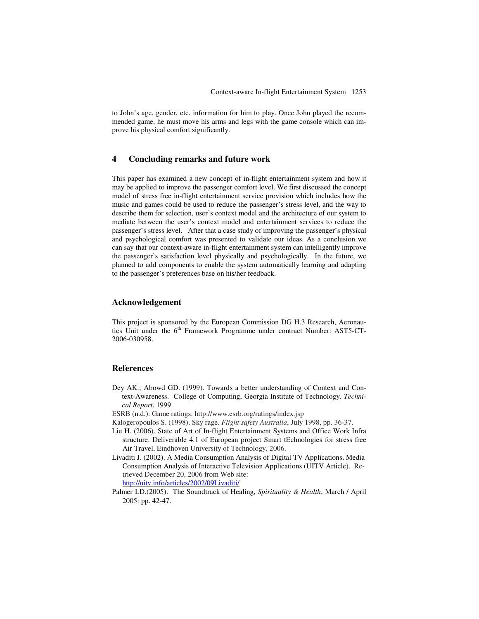to John's age, gender, etc. information for him to play. Once John played the recommended game, he must move his arms and legs with the game console which can improve his physical comfort significantly.

## **4 Concluding remarks and future work**

This paper has examined a new concept of in-flight entertainment system and how it may be applied to improve the passenger comfort level. We first discussed the concept model of stress free in-flight entertainment service provision which includes how the music and games could be used to reduce the passenger's stress level, and the way to describe them for selection, user's context model and the architecture of our system to mediate between the user's context model and entertainment services to reduce the passenger's stress level. After that a case study of improving the passenger's physical and psychological comfort was presented to validate our ideas. As a conclusion we can say that our context-aware in-flight entertainment system can intelligently improve the passenger's satisfaction level physically and psychologically. In the future, we planned to add components to enable the system automatically learning and adapting to the passenger's preferences base on his/her feedback.

### **Acknowledgement**

This project is sponsored by the European Commission DG H.3 Research, Aeronautics Unit under the 6<sup>th</sup> Framework Programme under contract Number: AST5-CT-2006-030958.

### **References**

Dey AK.; Abowd GD. (1999). Towards a better understanding of Context and Context-Awareness. College of Computing, Georgia Institute of Technology. *Technical Report*, 1999.

ESRB (n.d.). Game ratings. http://www.esrb.org/ratings/index.jsp

- Kalogeropoulos S. (1998). Sky rage. *Flight safety Australia*, July 1998, pp. 36-37.
- Liu H. (2006). State of Art of In-flight Entertainment Systems and Office Work Infra structure. Deliverable 4.1 of European project Smart tEchnologies for stress free Air Travel, Eindhoven University of Technology, 2006.
- Livaditi J. (2002). A Media Consumption Analysis of Digital TV Applications**.** Media Consumption Analysis of Interactive Television Applications (UITV Article). Retrieved December 20, 2006 from Web site: http://uitv.info/articles/2002/09Livaditi/
- Palmer LD.(2005). The Soundtrack of Healing, *Spirituality & Health*, March / April 2005: pp. 42-47.